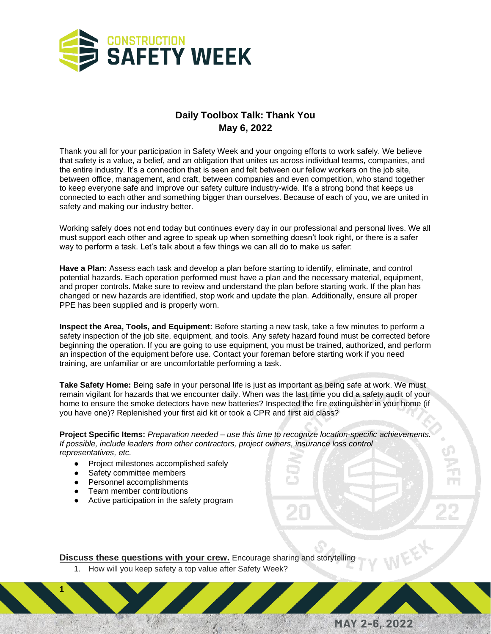

## **Daily Toolbox Talk: Thank You May 6, 2022**

Thank you all for your participation in Safety Week and your ongoing efforts to work safely. We believe that safety is a value, a belief, and an obligation that unites us across individual teams, companies, and the entire industry. It's a connection that is seen and felt between our fellow workers on the job site, between office, management, and craft, between companies and even competition, who stand together to keep everyone safe and improve our safety culture industry-wide. It's a strong bond that keeps us connected to each other and something bigger than ourselves. Because of each of you, we are united in safety and making our industry better.

Working safely does not end today but continues every day in our professional and personal lives. We all must support each other and agree to speak up when something doesn't look right, or there is a safer way to perform a task. Let's talk about a few things we can all do to make us safer:

**Have a Plan:** Assess each task and develop a plan before starting to identify, eliminate, and control potential hazards. Each operation performed must have a plan and the necessary material, equipment, and proper controls. Make sure to review and understand the plan before starting work. If the plan has changed or new hazards are identified, stop work and update the plan. Additionally, ensure all proper PPE has been supplied and is properly worn.

**Inspect the Area, Tools, and Equipment:** Before starting a new task, take a few minutes to perform a safety inspection of the job site, equipment, and tools. Any safety hazard found must be corrected before beginning the operation. If you are going to use equipment, you must be trained, authorized, and perform an inspection of the equipment before use. Contact your foreman before starting work if you need training, are unfamiliar or are uncomfortable performing a task.

**Take Safety Home:** Being safe in your personal life is just as important as being safe at work. We must remain vigilant for hazards that we encounter daily. When was the last time you did a safety audit of your home to ensure the smoke detectors have new batteries? Inspected the fire extinguisher in your home (if you have one)? Replenished your first aid kit or took a CPR and first aid class?

**Project Specific Items:** *Preparation needed – use this time to recognize location-specific achievements. If possible, include leaders from other contractors, project owners, insurance loss control representatives, etc.*

MAY 2-6, 2022

- Project milestones accomplished safely
- Safety committee members
- Personnel accomplishments
- Team member contributions

**1**

● Active participation in the safety program

**Discuss these questions with your crew.** Encourage sharing and storytelling

1. How will you keep safety a top value after Safety Week?